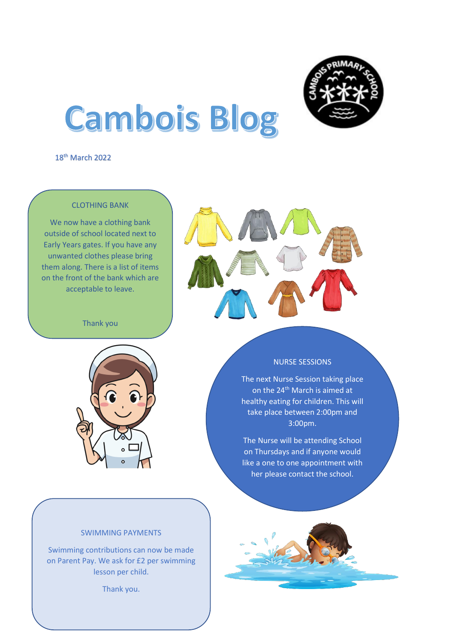

# **Cambois Blog**

18<sup>th</sup> March 2022

## CLOTHING BANK

We now have a clothing bank outside of school located next to Early Years gates. If you have any unwanted clothes please bring them along. There is a list of items on the front of the bank which are acceptable to leave.

Thank you





#### NURSE SESSIONS

The next Nurse Session taking place on the 24<sup>th</sup> March is aimed at healthy eating for children. This will take place between 2:00pm and 3:00pm.

The Nurse will be attending School on Thursdays and if anyone would like a one to one appointment with her please contact the school.

#### SWIMMING PAYMENTS

Swimming contributions can now be made on Parent Pay. We ask for £2 per swimming lesson per child.

Thank you.

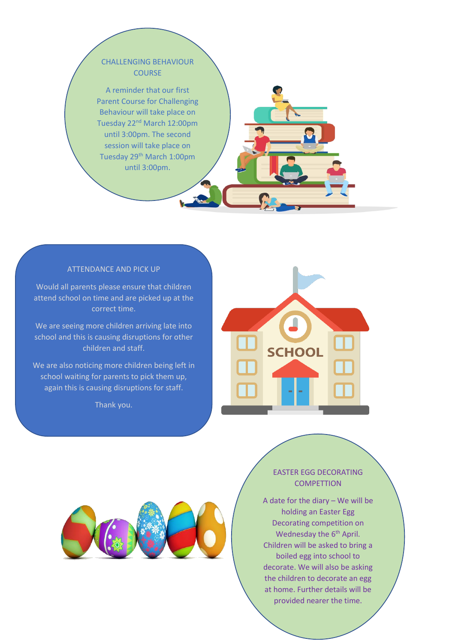## CHALLENGING BEHAVIOUR **COURSE**

A reminder that our first Parent Course for Challenging Behaviour will take place on Tuesday 22<sup>nd</sup> March 12:00pm until 3:00pm. The second session will take place on Tuesday 29<sup>th</sup> March 1:00pm until 3:00pm.

### ATTENDANCE AND PICK UP

Would all parents please ensure that children attend school on time and are picked up at the correct time.

We are seeing more children arriving late into school and this is causing disruptions for other children and staff.

We are also noticing more children being left in school waiting for parents to pick them up, again this is causing disruptions for staff.

Thank you.





# EASTER EGG DECORATING **COMPETTION**

A date for the diary – We will be holding an Easter Egg Decorating competition on Wednesday the 6<sup>th</sup> April. Children will be asked to bring a boiled egg into school to decorate. We will also be asking the children to decorate an egg at home. Further details will be provided nearer the time.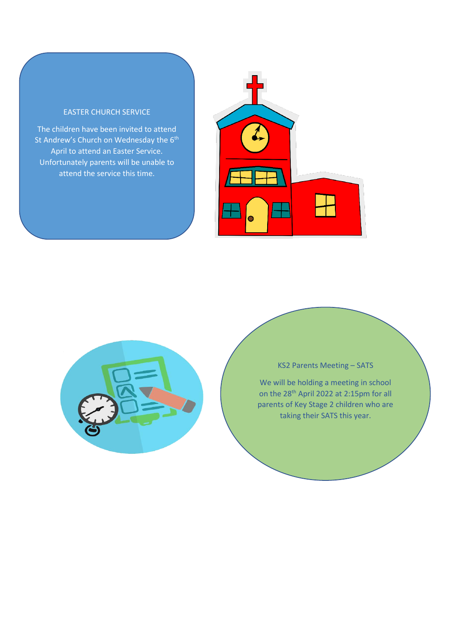#### EASTER CHURCH SERVICE

The children have been invited to attend St Andrew's Church on Wednesday the 6<sup>th</sup> April to attend an Easter Service. Unfortunately parents will be unable to attend the service this time.

ׇ֦֘֡





## KS2 Parents Meeting – SATS

We will be holding a meeting in school on the 28th April 2022 at 2:15pm for all parents of Key Stage 2 children who are taking their SATS this year.